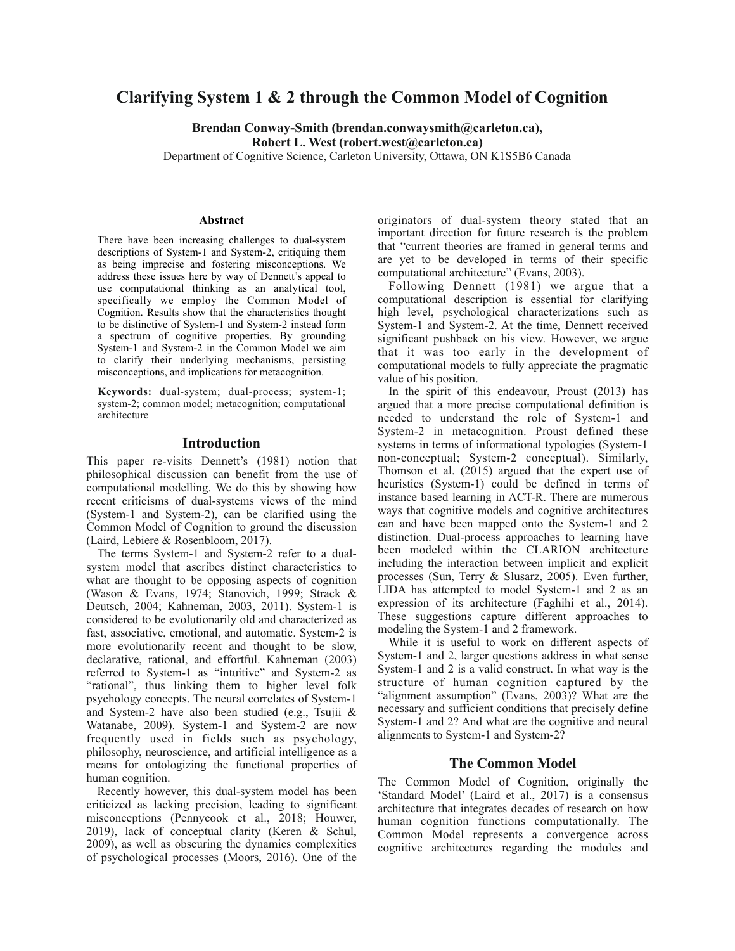# **Clarifying System 1 & 2 through the Common Model of Cognition**

**Brendan Conway-Smith (brendan.conwaysmith@carleton.ca), Robert L. West (robert.west@carleton.ca)**

Department of Cognitive Science, Carleton University, Ottawa, ON K1S5B6 Canada

#### **Abstract**

There have been increasing challenges to dual-system descriptions of System-1 and System-2, critiquing them as being imprecise and fostering misconceptions. We address these issues here by way of Dennett's appeal to use computational thinking as an analytical tool, specifically we employ the Common Model of Cognition. Results show that the characteristics thought to be distinctive of System-1 and System-2 instead form a spectrum of cognitive properties. By grounding System-1 and System-2 in the Common Model we aim to clarify their underlying mechanisms, persisting misconceptions, and implications for metacognition.

**Keywords:** dual-system; dual-process; system-1; system-2; common model; metacognition; computational architecture

#### **Introduction**

This paper re-visits Dennett's (1981) notion that philosophical discussion can benefit from the use of computational modelling. We do this by showing how recent criticisms of dual-systems views of the mind (System-1 and System-2), can be clarified using the Common Model of Cognition to ground the discussion (Laird, Lebiere & Rosenbloom, 2017).

The terms System-1 and System-2 refer to a dualsystem model that ascribes distinct characteristics to what are thought to be opposing aspects of cognition (Wason & Evans, 1974; Stanovich, 1999; Strack & Deutsch, 2004; Kahneman, 2003, 2011). System-1 is considered to be evolutionarily old and characterized as fast, associative, emotional, and automatic. System-2 is more evolutionarily recent and thought to be slow, declarative, rational, and effortful. Kahneman (2003) referred to System-1 as "intuitive" and System-2 as "rational", thus linking them to higher level folk psychology concepts. The neural correlates of System-1 and System-2 have also been studied (e.g., Tsujii & Watanabe, 2009). System-1 and System-2 are now frequently used in fields such as psychology, philosophy, neuroscience, and artificial intelligence as a means for ontologizing the functional properties of human cognition.

Recently however, this dual-system model has been criticized as lacking precision, leading to significant misconceptions (Pennycook et al., 2018; Houwer, 2019), lack of conceptual clarity (Keren & Schul, 2009), as well as obscuring the dynamics complexities of psychological processes (Moors, 2016). One of the

originators of dual-system theory stated that an important direction for future research is the problem that "current theories are framed in general terms and are yet to be developed in terms of their specific computational architecture" (Evans, 2003).

Following Dennett (1981) we argue that a computational description is essential for clarifying high level, psychological characterizations such as System-1 and System-2. At the time, Dennett received significant pushback on his view. However, we argue that it was too early in the development of computational models to fully appreciate the pragmatic value of his position.

In the spirit of this endeavour, Proust (2013) has argued that a more precise computational definition is needed to understand the role of System-1 and System-2 in metacognition. Proust defined these systems in terms of informational typologies (System-1 non-conceptual; System-2 conceptual). Similarly, Thomson et al. (2015) argued that the expert use of heuristics (System-1) could be defined in terms of instance based learning in ACT-R. There are numerous ways that cognitive models and cognitive architectures can and have been mapped onto the System-1 and 2 distinction. Dual-process approaches to learning have been modeled within the CLARION architecture including the interaction between implicit and explicit processes (Sun, Terry & Slusarz, 2005). Even further, LIDA has attempted to model System-1 and 2 as an expression of its architecture (Faghihi et al., 2014). These suggestions capture different approaches to modeling the System-1 and 2 framework.

While it is useful to work on different aspects of System-1 and 2, larger questions address in what sense System-1 and 2 is a valid construct. In what way is the structure of human cognition captured by the "alignment assumption" (Evans, 2003)? What are the necessary and sufficient conditions that precisely define System-1 and 2? And what are the cognitive and neural alignments to System-1 and System-2?

#### **The Common Model**

The Common Model of Cognition, originally the 'Standard Model' (Laird et al., 2017) is a consensus architecture that integrates decades of research on how human cognition functions computationally. The Common Model represents a convergence across cognitive architectures regarding the modules and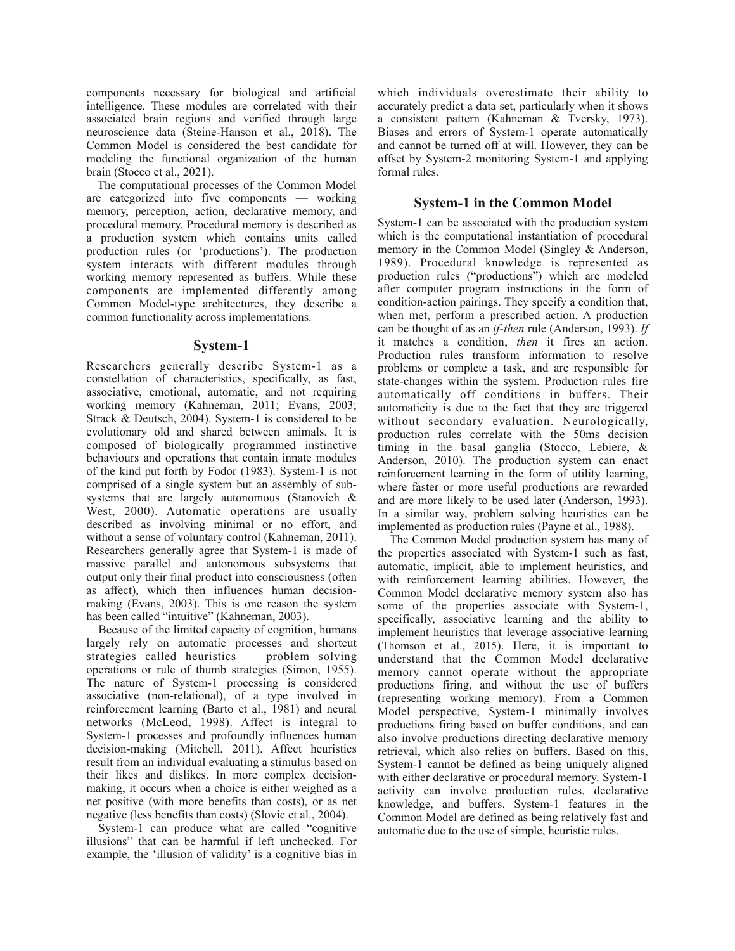components necessary for biological and artificial intelligence. These modules are correlated with their associated brain regions and verified through large neuroscience data (Steine-Hanson et al., 2018). The Common Model is considered the best candidate for modeling the functional organization of the human brain (Stocco et al., 2021).

The computational processes of the Common Model are categorized into five components — working memory, perception, action, declarative memory, and procedural memory. Procedural memory is described as a production system which contains units called production rules (or 'productions'). The production system interacts with different modules through working memory represented as buffers. While these components are implemented differently among Common Model-type architectures, they describe a common functionality across implementations.

### **System-1**

Researchers generally describe System-1 as a constellation of characteristics, specifically, as fast, associative, emotional, automatic, and not requiring working memory (Kahneman, 2011; Evans, 2003; Strack & Deutsch, 2004). System-1 is considered to be evolutionary old and shared between animals. It is composed of biologically programmed instinctive behaviours and operations that contain innate modules of the kind put forth by Fodor (1983). System-1 is not comprised of a single system but an assembly of subsystems that are largely autonomous (Stanovich & West, 2000). Automatic operations are usually described as involving minimal or no effort, and without a sense of voluntary control (Kahneman, 2011). Researchers generally agree that System-1 is made of massive parallel and autonomous subsystems that output only their final product into consciousness (often as affect), which then influences human decisionmaking (Evans, 2003). This is one reason the system has been called "intuitive" (Kahneman, 2003).

Because of the limited capacity of cognition, humans largely rely on automatic processes and shortcut strategies called heuristics — problem solving operations or rule of thumb strategies (Simon, 1955). The nature of System-1 processing is considered associative (non-relational), of a type involved in reinforcement learning (Barto et al., 1981) and neural networks (McLeod, 1998). Affect is integral to System-1 processes and profoundly influences human decision-making (Mitchell, 2011). Affect heuristics result from an individual evaluating a stimulus based on their likes and dislikes. In more complex decisionmaking, it occurs when a choice is either weighed as a net positive (with more benefits than costs), or as net negative (less benefits than costs) (Slovic et al., 2004).

System-1 can produce what are called "cognitive illusions" that can be harmful if left unchecked. For example, the 'illusion of validity' is a cognitive bias in which individuals overestimate their ability to accurately predict a data set, particularly when it shows a consistent pattern (Kahneman & Tversky, 1973). Biases and errors of System-1 operate automatically and cannot be turned off at will. However, they can be offset by System-2 monitoring System-1 and applying formal rules.

# **System-1 in the Common Model**

System-1 can be associated with the production system which is the computational instantiation of procedural memory in the Common Model (Singley & Anderson, 1989). Procedural knowledge is represented as production rules ("productions") which are modeled after computer program instructions in the form of condition-action pairings. They specify a condition that, when met, perform a prescribed action. A production can be thought of as an *if-then* rule (Anderson, 1993). *If* it matches a condition, *then* it fires an action. Production rules transform information to resolve problems or complete a task, and are responsible for state-changes within the system. Production rules fire automatically off conditions in buffers. Their automaticity is due to the fact that they are triggered without secondary evaluation. Neurologically, production rules correlate with the 50ms decision timing in the basal ganglia (Stocco, Lebiere, & Anderson, 2010). The production system can enact reinforcement learning in the form of utility learning, where faster or more useful productions are rewarded and are more likely to be used later (Anderson, 1993). In a similar way, problem solving heuristics can be implemented as production rules (Payne et al., 1988).

The Common Model production system has many of the properties associated with System-1 such as fast, automatic, implicit, able to implement heuristics, and with reinforcement learning abilities. However, the Common Model declarative memory system also has some of the properties associate with System-1, specifically, associative learning and the ability to implement heuristics that leverage associative learning (Thomson et al., 2015). Here, it is important to understand that the Common Model declarative memory cannot operate without the appropriate productions firing, and without the use of buffers (representing working memory). From a Common Model perspective, System-1 minimally involves productions firing based on buffer conditions, and can also involve productions directing declarative memory retrieval, which also relies on buffers. Based on this, System-1 cannot be defined as being uniquely aligned with either declarative or procedural memory. System-1 activity can involve production rules, declarative knowledge, and buffers. System-1 features in the Common Model are defined as being relatively fast and automatic due to the use of simple, heuristic rules.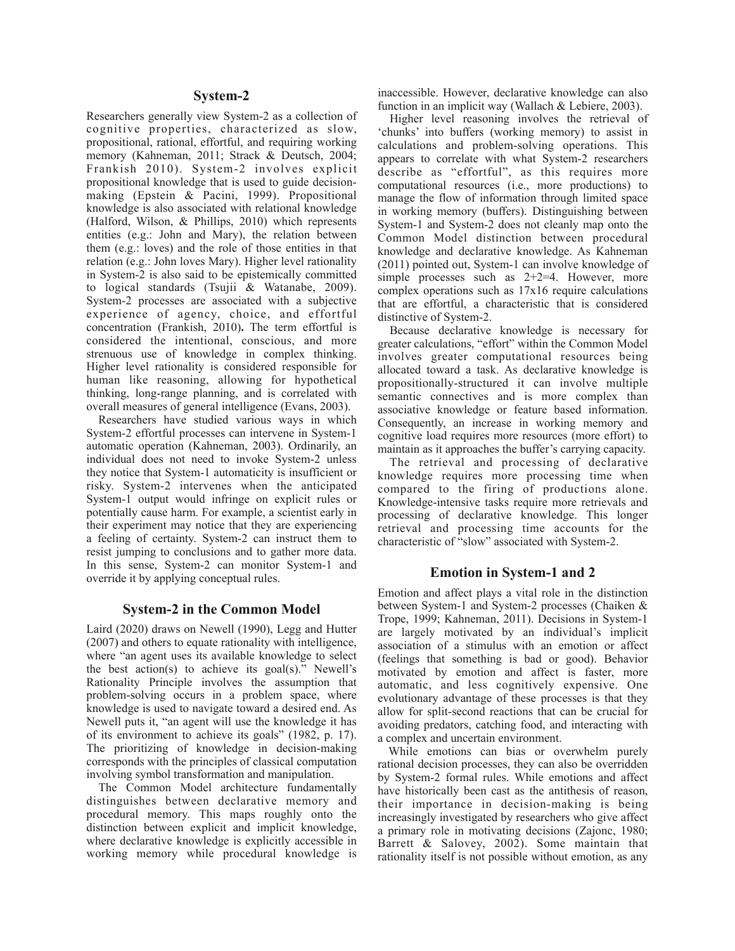#### **System-2**

Researchers generally view System-2 as a collection of cognitive properties, characterized as slow, propositional, rational, effortful, and requiring working memory (Kahneman, 2011; Strack & Deutsch, 2004; Frankish 2010). System-2 involves explicit propositional knowledge that is used to guide decisionmaking (Epstein & Pacini, 1999). Propositional knowledge is also associated with relational knowledge (Halford, Wilson, & Phillips, 2010) which represents entities (e.g.: John and Mary), the relation between them (e.g.: loves) and the role of those entities in that relation (e.g.: John loves Mary). Higher level rationality in System-2 is also said to be epistemically committed to logical standards (Tsujii & Watanabe, 2009). System-2 processes are associated with a subjective experience of agency, choice, and effortful concentration (Frankish, 2010)**.** The term effortful is considered the intentional, conscious, and more strenuous use of knowledge in complex thinking. Higher level rationality is considered responsible for human like reasoning, allowing for hypothetical thinking, long-range planning, and is correlated with overall measures of general intelligence (Evans, 2003).

Researchers have studied various ways in which System-2 effortful processes can intervene in System-1 automatic operation (Kahneman, 2003). Ordinarily, an individual does not need to invoke System-2 unless they notice that System-1 automaticity is insufficient or risky. System-2 intervenes when the anticipated System-1 output would infringe on explicit rules or potentially cause harm. For example, a scientist early in their experiment may notice that they are experiencing a feeling of certainty. System-2 can instruct them to resist jumping to conclusions and to gather more data. In this sense, System-2 can monitor System-1 and override it by applying conceptual rules.

#### **System-2 in the Common Model**

Laird (2020) draws on Newell (1990), Legg and Hutter (2007) and others to equate rationality with intelligence, where "an agent uses its available knowledge to select the best action(s) to achieve its  $\text{goal}(s)$ ." Newell's Rationality Principle involves the assumption that problem-solving occurs in a problem space, where knowledge is used to navigate toward a desired end. As Newell puts it, "an agent will use the knowledge it has of its environment to achieve its goals" (1982, p. 17). The prioritizing of knowledge in decision-making corresponds with the principles of classical computation involving symbol transformation and manipulation.

The Common Model architecture fundamentally distinguishes between declarative memory and procedural memory. This maps roughly onto the distinction between explicit and implicit knowledge, where declarative knowledge is explicitly accessible in working memory while procedural knowledge is

inaccessible. However, declarative knowledge can also function in an implicit way (Wallach & Lebiere, 2003).

Higher level reasoning involves the retrieval of 'chunks' into buffers (working memory) to assist in calculations and problem-solving operations. This appears to correlate with what System-2 researchers describe as "effortful", as this requires more computational resources (i.e., more productions) to manage the flow of information through limited space in working memory (buffers). Distinguishing between System-1 and System-2 does not cleanly map onto the Common Model distinction between procedural knowledge and declarative knowledge. As Kahneman (2011) pointed out, System-1 can involve knowledge of simple processes such as  $2+2=4$ . However, more complex operations such as 17x16 require calculations that are effortful, a characteristic that is considered distinctive of System-2.

Because declarative knowledge is necessary for greater calculations, "effort" within the Common Model involves greater computational resources being allocated toward a task. As declarative knowledge is propositionally-structured it can involve multiple semantic connectives and is more complex than associative knowledge or feature based information. Consequently, an increase in working memory and cognitive load requires more resources (more effort) to maintain as it approaches the buffer's carrying capacity.

The retrieval and processing of declarative knowledge requires more processing time when compared to the firing of productions alone. Knowledge-intensive tasks require more retrievals and processing of declarative knowledge. This longer retrieval and processing time accounts for the characteristic of "slow" associated with System-2.

#### **Emotion in System-1 and 2**

Emotion and affect plays a vital role in the distinction between System-1 and System-2 processes (Chaiken & Trope, 1999; Kahneman, 2011). Decisions in System-1 are largely motivated by an individual's implicit association of a stimulus with an emotion or affect (feelings that something is bad or good). Behavior motivated by emotion and affect is faster, more automatic, and less cognitively expensive. One evolutionary advantage of these processes is that they allow for split-second reactions that can be crucial for avoiding predators, catching food, and interacting with a complex and uncertain environment.

While emotions can bias or overwhelm purely rational decision processes, they can also be overridden by System-2 formal rules. While emotions and affect have historically been cast as the antithesis of reason, their importance in decision-making is being increasingly investigated by researchers who give affect a primary role in motivating decisions (Zajonc, 1980; Barrett & Salovey, 2002). Some maintain that rationality itself is not possible without emotion, as any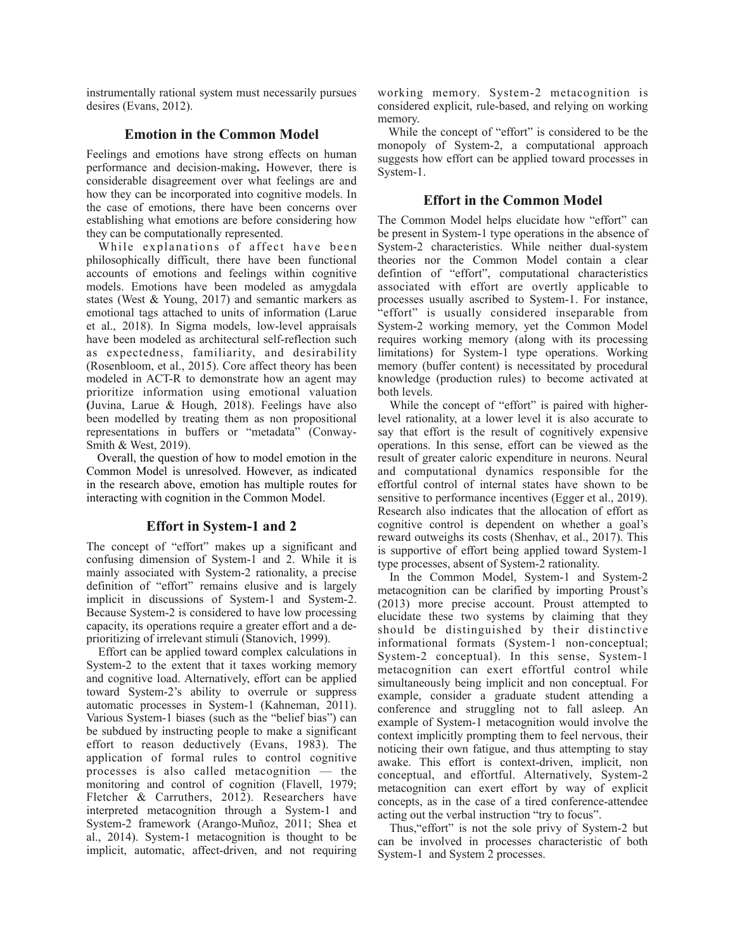instrumentally rational system must necessarily pursues desires (Evans, 2012).

### **Emotion in the Common Model**

Feelings and emotions have strong effects on human performance and decision-making**.** However, there is considerable disagreement over what feelings are and how they can be incorporated into cognitive models. In the case of emotions, there have been concerns over establishing what emotions are before considering how they can be computationally represented.

While explanations of affect have been philosophically difficult, there have been functional accounts of emotions and feelings within cognitive models. Emotions have been modeled as amygdala states (West & Young, 2017) and semantic markers as emotional tags attached to units of information (Larue et al., 2018). In Sigma models, low-level appraisals have been modeled as architectural self-reflection such as expectedness, familiarity, and desirability (Rosenbloom, et al., 2015). Core affect theory has been modeled in ACT-R to demonstrate how an agent may prioritize information using emotional valuation **(**Juvina, Larue & Hough, 2018). Feelings have also been modelled by treating them as non propositional representations in buffers or "metadata" (Conway-Smith & West, 2019).

Overall, the question of how to model emotion in the Common Model is unresolved. However, as indicated in the research above, emotion has multiple routes for interacting with cognition in the Common Model.

# **Effort in System-1 and 2**

The concept of "effort" makes up a significant and confusing dimension of System-1 and 2. While it is mainly associated with System-2 rationality, a precise definition of "effort" remains elusive and is largely implicit in discussions of System-1 and System-2. Because System-2 is considered to have low processing capacity, its operations require a greater effort and a deprioritizing of irrelevant stimuli (Stanovich, 1999).

Effort can be applied toward complex calculations in System-2 to the extent that it taxes working memory and cognitive load. Alternatively, effort can be applied toward System-2's ability to overrule or suppress automatic processes in System-1 (Kahneman, 2011). Various System-1 biases (such as the "belief bias") can be subdued by instructing people to make a significant effort to reason deductively (Evans, 1983). The application of formal rules to control cognitive processes is also called metacognition — the monitoring and control of cognition (Flavell, 1979; Fletcher & Carruthers, 2012). Researchers have interpreted metacognition through a System-1 and System-2 framework (Arango-Muñoz, 2011; Shea et al., 2014). System-1 metacognition is thought to be implicit, automatic, affect-driven, and not requiring working memory. System-2 metacognition is considered explicit, rule-based, and relying on working memory.

While the concept of "effort" is considered to be the monopoly of System-2, a computational approach suggests how effort can be applied toward processes in System-1.

### **Effort in the Common Model**

The Common Model helps elucidate how "effort" can be present in System-1 type operations in the absence of System-2 characteristics. While neither dual-system theories nor the Common Model contain a clear defintion of "effort", computational characteristics associated with effort are overtly applicable to processes usually ascribed to System-1. For instance, "effort" is usually considered inseparable from System-2 working memory, yet the Common Model requires working memory (along with its processing limitations) for System-1 type operations. Working memory (buffer content) is necessitated by procedural knowledge (production rules) to become activated at both levels.

While the concept of "effort" is paired with higherlevel rationality, at a lower level it is also accurate to say that effort is the result of cognitively expensive operations. In this sense, effort can be viewed as the result of greater caloric expenditure in neurons. Neural and computational dynamics responsible for the effortful control of internal states have shown to be sensitive to performance incentives (Egger et al., 2019). Research also indicates that the allocation of effort as cognitive control is dependent on whether a goal's reward outweighs its costs (Shenhav, et al., 2017). This is supportive of effort being applied toward System-1 type processes, absent of System-2 rationality.

In the Common Model, System-1 and System-2 metacognition can be clarified by importing Proust's (2013) more precise account. Proust attempted to elucidate these two systems by claiming that they should be distinguished by their distinctive informational formats (System-1 non-conceptual; System-2 conceptual). In this sense, System-1 metacognition can exert effortful control while simultaneously being implicit and non conceptual. For example, consider a graduate student attending a conference and struggling not to fall asleep. An example of System-1 metacognition would involve the context implicitly prompting them to feel nervous, their noticing their own fatigue, and thus attempting to stay awake. This effort is context-driven, implicit, non conceptual, and effortful. Alternatively, System-2 metacognition can exert effort by way of explicit concepts, as in the case of a tired conference-attendee acting out the verbal instruction "try to focus".

Thus,"effort" is not the sole privy of System-2 but can be involved in processes characteristic of both System-1 and System 2 processes.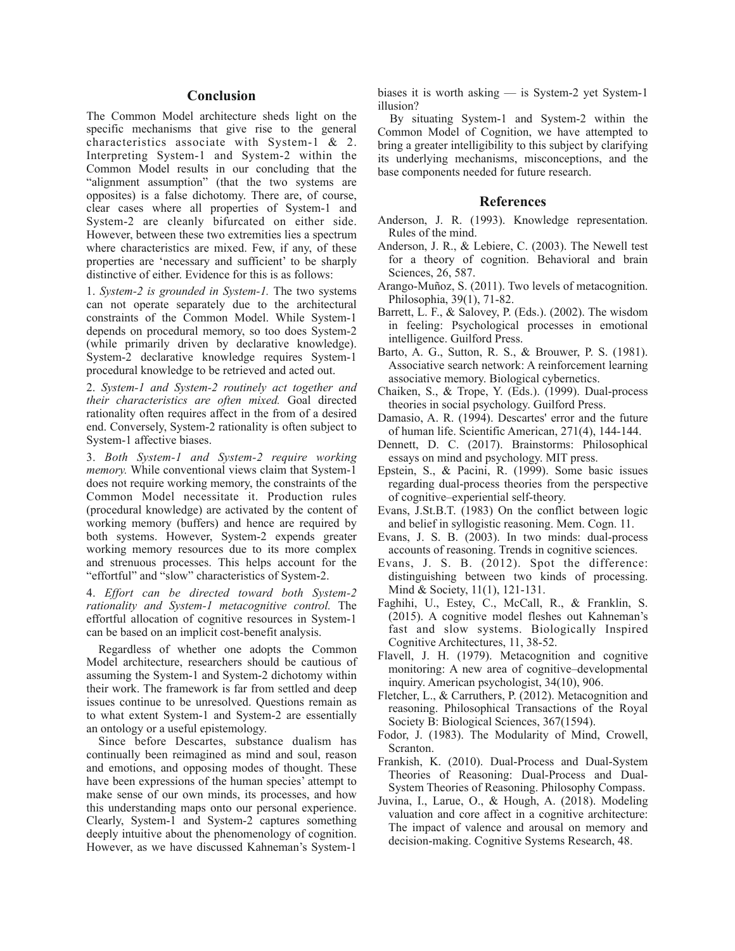### **Conclusion**

The Common Model architecture sheds light on the specific mechanisms that give rise to the general characteristics associate with System-1 & 2. Interpreting System-1 and System-2 within the Common Model results in our concluding that the "alignment assumption" (that the two systems are opposites) is a false dichotomy. There are, of course, clear cases where all properties of System-1 and System-2 are cleanly bifurcated on either side. However, between these two extremities lies a spectrum where characteristics are mixed. Few, if any, of these properties are 'necessary and sufficient' to be sharply distinctive of either. Evidence for this is as follows:

1. *System-2 is grounded in System-1.* The two systems can not operate separately due to the architectural constraints of the Common Model. While System-1 depends on procedural memory, so too does System-2 (while primarily driven by declarative knowledge). System-2 declarative knowledge requires System-1 procedural knowledge to be retrieved and acted out.

2. *System-1 and System-2 routinely act together and their characteristics are often mixed.* Goal directed rationality often requires affect in the from of a desired end. Conversely, System-2 rationality is often subject to System-1 affective biases.

3. *Both System-1 and System-2 require working memory.* While conventional views claim that System-1 does not require working memory, the constraints of the Common Model necessitate it. Production rules (procedural knowledge) are activated by the content of working memory (buffers) and hence are required by both systems. However, System-2 expends greater working memory resources due to its more complex and strenuous processes. This helps account for the "effortful" and "slow" characteristics of System-2.

4. *Effort can be directed toward both System-2 rationality and System-1 metacognitive control.* The effortful allocation of cognitive resources in System-1 can be based on an implicit cost-benefit analysis.

Regardless of whether one adopts the Common Model architecture, researchers should be cautious of assuming the System-1 and System-2 dichotomy within their work. The framework is far from settled and deep issues continue to be unresolved. Questions remain as to what extent System-1 and System-2 are essentially an ontology or a useful epistemology.

Since before Descartes, substance dualism has continually been reimagined as mind and soul, reason and emotions, and opposing modes of thought. These have been expressions of the human species' attempt to make sense of our own minds, its processes, and how this understanding maps onto our personal experience. Clearly, System-1 and System-2 captures something deeply intuitive about the phenomenology of cognition. However, as we have discussed Kahneman's System-1

biases it is worth asking — is System-2 yet System-1 illusion?

By situating System-1 and System-2 within the Common Model of Cognition, we have attempted to bring a greater intelligibility to this subject by clarifying its underlying mechanisms, misconceptions, and the base components needed for future research.

#### **References**

- Anderson, J. R. (1993). Knowledge representation. Rules of the mind.
- Anderson, J. R., & Lebiere, C. (2003). The Newell test for a theory of cognition. Behavioral and brain Sciences, 26, 587.
- Arango-Muñoz, S. (2011). Two levels of metacognition. Philosophia, 39(1), 71-82.
- Barrett, L. F., & Salovey, P. (Eds.). (2002). The wisdom in feeling: Psychological processes in emotional intelligence. Guilford Press.
- Barto, A. G., Sutton, R. S., & Brouwer, P. S. (1981). Associative search network: A reinforcement learning associative memory. Biological cybernetics.
- Chaiken, S., & Trope, Y. (Eds.). (1999). Dual-process theories in social psychology. Guilford Press.
- Damasio, A. R. (1994). Descartes' error and the future of human life. Scientific American, 271(4), 144-144.
- Dennett, D. C. (2017). Brainstorms: Philosophical essays on mind and psychology. MIT press.
- Epstein, S., & Pacini, R. (1999). Some basic issues regarding dual-process theories from the perspective of cognitive–experiential self-theory.
- Evans, J.St.B.T. (1983) On the conflict between logic and belief in syllogistic reasoning. Mem. Cogn. 11.
- Evans, J. S. B. (2003). In two minds: dual-process accounts of reasoning. Trends in cognitive sciences.
- Evans, J. S. B. (2012). Spot the difference: distinguishing between two kinds of processing. Mind & Society, 11(1), 121-131.
- Faghihi, U., Estey, C., McCall, R., & Franklin, S. (2015). A cognitive model fleshes out Kahneman's fast and slow systems. Biologically Inspired Cognitive Architectures, 11, 38-52.
- Flavell, J. H. (1979). Metacognition and cognitive monitoring: A new area of cognitive–developmental inquiry. American psychologist, 34(10), 906.
- Fletcher, L., & Carruthers, P. (2012). Metacognition and reasoning. Philosophical Transactions of the Royal Society B: Biological Sciences, 367(1594).
- Fodor, J. (1983). The Modularity of Mind, Crowell, Scranton.
- Frankish, K. (2010). Dual-Process and Dual-System Theories of Reasoning: Dual-Process and Dual-System Theories of Reasoning. Philosophy Compass.
- Juvina, I., Larue, O., & Hough, A. (2018). Modeling valuation and core affect in a cognitive architecture: The impact of valence and arousal on memory and decision-making. Cognitive Systems Research, 48.